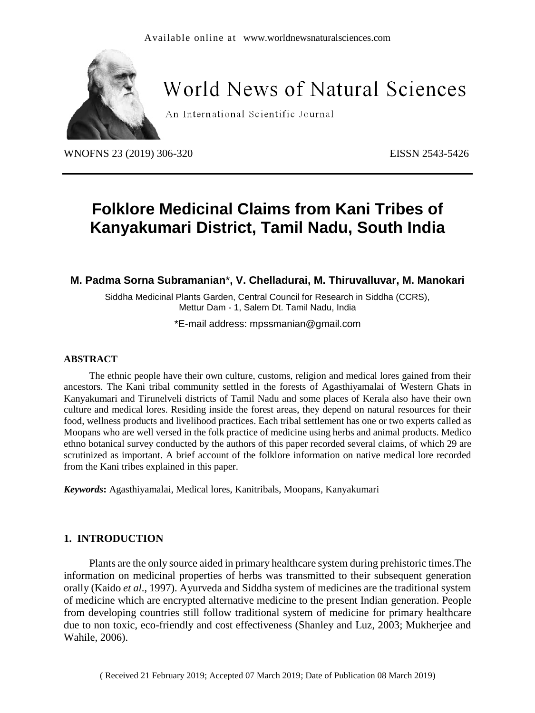

# **World News of Natural Sciences**

An International Scientific Journal

WNOFNS 23 (2019) 306-320 EISSN 2543-5426

# **Folklore Medicinal Claims from Kani Tribes of Kanyakumari District, Tamil Nadu, South India**

# **M. Padma Sorna Subramanian**\***, V. Chelladurai, M. Thiruvalluvar, M. Manokari**

Siddha Medicinal Plants Garden, Central Council for Research in Siddha (CCRS), Mettur Dam - 1, Salem Dt. Tamil Nadu, India

\*E-mail address: [mpssmanian@gmail.com](mailto:mpssmanian@gmail.com)

#### **ABSTRACT**

The ethnic people have their own culture, customs, religion and medical lores gained from their ancestors. The Kani tribal community settled in the forests of Agasthiyamalai of Western Ghats in Kanyakumari and Tirunelveli districts of Tamil Nadu and some places of Kerala also have their own culture and medical lores. Residing inside the forest areas, they depend on natural resources for their food, wellness products and livelihood practices. Each tribal settlement has one or two experts called as Moopans who are well versed in the folk practice of medicine using herbs and animal products. Medico ethno botanical survey conducted by the authors of this paper recorded several claims, of which 29 are scrutinized as important. A brief account of the folklore information on native medical lore recorded from the Kani tribes explained in this paper.

*Keywords***:** Agasthiyamalai, Medical lores, Kanitribals, Moopans, Kanyakumari

## **1. INTRODUCTION**

Plants are the only source aided in primary healthcare system during prehistoric times.The information on medicinal properties of herbs was transmitted to their subsequent generation orally (Kaido *et al*., 1997). Ayurveda and Siddha system of medicines are the traditional system of medicine which are encrypted alternative medicine to the present Indian generation. People from developing countries still follow traditional system of medicine for primary healthcare due to non toxic, eco-friendly and cost effectiveness (Shanley and Luz, 2003; Mukherjee and Wahile, 2006).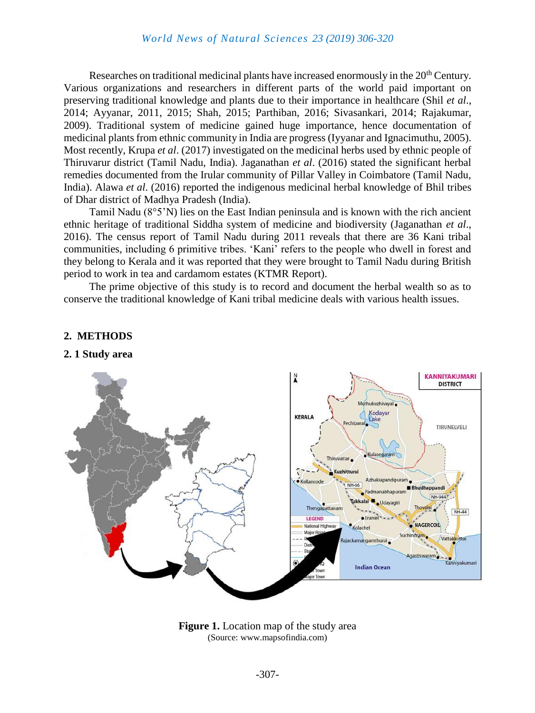Researches on traditional medicinal plants have increased enormously in the 20<sup>th</sup> Century. Various organizations and researchers in different parts of the world paid important on preserving traditional knowledge and plants due to their importance in healthcare (Shil *et al*., 2014; Ayyanar, 2011, 2015; Shah, 2015; Parthiban, 2016; Sivasankari, 2014; Rajakumar, 2009). Traditional system of medicine gained huge importance, hence documentation of medicinal plants from ethnic community in India are progress (Iyyanar and Ignacimuthu, 2005). Most recently, Krupa *et al*. (2017) investigated on the medicinal herbs used by ethnic people of Thiruvarur district (Tamil Nadu, India). Jaganathan *et al*. (2016) stated the significant herbal remedies documented from the Irular community of Pillar Valley in Coimbatore (Tamil Nadu, India). Alawa *et al*. (2016) reported the indigenous medicinal herbal knowledge of Bhil tribes of Dhar district of Madhya Pradesh (India).

Tamil Nadu (8°5'N) lies on the East Indian peninsula and is known with the rich ancient ethnic heritage of traditional Siddha system of medicine and biodiversity (Jaganathan *et al*., 2016). The census report of Tamil Nadu during 2011 reveals that there are 36 Kani tribal communities, including 6 primitive tribes. 'Kani' refers to the people who dwell in forest and they belong to Kerala and it was reported that they were brought to Tamil Nadu during British period to work in tea and cardamom estates (KTMR Report).

The prime objective of this study is to record and document the herbal wealth so as to conserve the traditional knowledge of Kani tribal medicine deals with various health issues.



## **2. METHODS**

#### **2. 1 Study area**

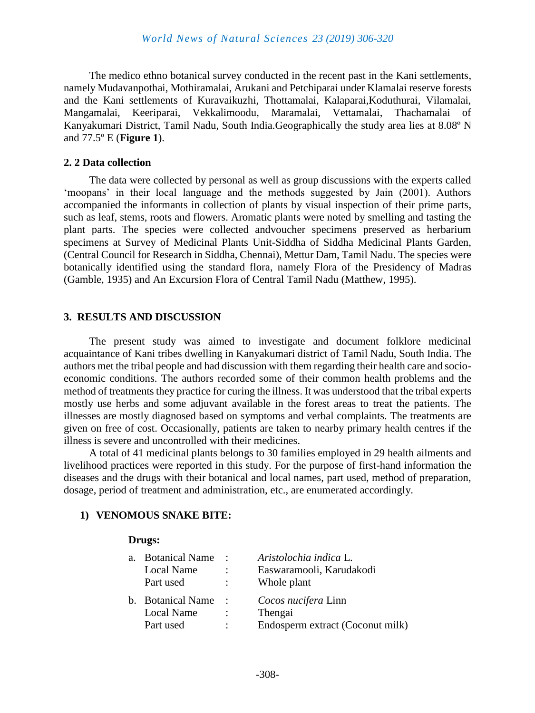The medico ethno botanical survey conducted in the recent past in the Kani settlements, namely Mudavanpothai, Mothiramalai, Arukani and Petchiparai under Klamalai reserve forests and the Kani settlements of Kuravaikuzhi, Thottamalai, Kalaparai,Koduthurai, Vilamalai, Mangamalai, Keeriparai, Vekkalimoodu, Maramalai, Vettamalai, Thachamalai of Kanyakumari District, Tamil Nadu, South India.Geographically the study area lies at 8.08º N and 77.5º E (**Figure 1**).

## **2. 2 Data collection**

The data were collected by personal as well as group discussions with the experts called 'moopans' in their local language and the methods suggested by Jain (2001). Authors accompanied the informants in collection of plants by visual inspection of their prime parts, such as leaf, stems, roots and flowers. Aromatic plants were noted by smelling and tasting the plant parts. The species were collected andvoucher specimens preserved as herbarium specimens at Survey of Medicinal Plants Unit-Siddha of Siddha Medicinal Plants Garden, (Central Council for Research in Siddha, Chennai), Mettur Dam, Tamil Nadu. The species were botanically identified using the standard flora, namely Flora of the Presidency of Madras (Gamble, 1935) and An Excursion Flora of Central Tamil Nadu (Matthew, 1995).

## **3. RESULTS AND DISCUSSION**

The present study was aimed to investigate and document folklore medicinal acquaintance of Kani tribes dwelling in Kanyakumari district of Tamil Nadu, South India. The authors met the tribal people and had discussion with them regarding their health care and socioeconomic conditions. The authors recorded some of their common health problems and the method of treatments they practice for curing the illness. It was understood that the tribal experts mostly use herbs and some adjuvant available in the forest areas to treat the patients. The illnesses are mostly diagnosed based on symptoms and verbal complaints. The treatments are given on free of cost. Occasionally, patients are taken to nearby primary health centres if the illness is severe and uncontrolled with their medicines.

A total of 41 medicinal plants belongs to 30 families employed in 29 health ailments and livelihood practices were reported in this study. For the purpose of first-hand information the diseases and the drugs with their botanical and local names, part used, method of preparation, dosage, period of treatment and administration, etc., are enumerated accordingly.

## **1) VENOMOUS SNAKE BITE:**

| a. | <b>Botanical Name</b> | $\ddot{\phantom{a}}$ | Aristolochia indica L.           |
|----|-----------------------|----------------------|----------------------------------|
|    | Local Name            | ÷                    | Easwaramooli, Karudakodi         |
|    | Part used             | ÷                    | Whole plant                      |
|    | b. Botanical Name     | $\ddot{\phantom{a}}$ | Cocos nucifera Linn              |
|    | Local Name            | $\ddot{\cdot}$       | Thengai                          |
|    | Part used             | $\ddot{\cdot}$       | Endosperm extract (Coconut milk) |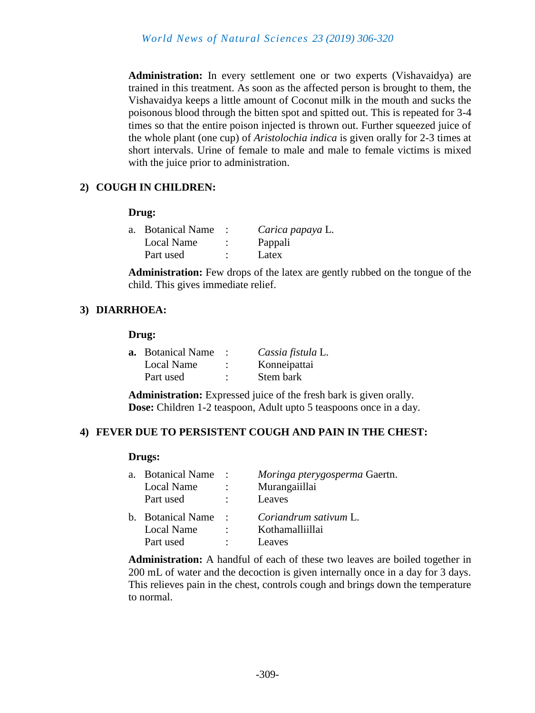**Administration:** In every settlement one or two experts (Vishavaidya) are trained in this treatment. As soon as the affected person is brought to them, the Vishavaidya keeps a little amount of Coconut milk in the mouth and sucks the poisonous blood through the bitten spot and spitted out. This is repeated for 3-4 times so that the entire poison injected is thrown out. Further squeezed juice of the whole plant (one cup) of *Aristolochia indica* is given orally for 2-3 times at short intervals. Urine of female to male and male to female victims is mixed with the juice prior to administration.

# **2) COUGH IN CHILDREN:**

# **Drug:**

| a. Botanical Name | Carica papaya L. |
|-------------------|------------------|
| Local Name        | Pappali          |
| Part used         | Latex            |

**Administration:** Few drops of the latex are gently rubbed on the tongue of the child. This gives immediate relief.

# **3) DIARRHOEA:**

# **Drug:**

| <b>a.</b> Botanical Name |           | Cassia fistula L. |
|--------------------------|-----------|-------------------|
| Local Name               | $\bullet$ | Konneipattai      |
| Part used                | ٠         | Stem bark         |

**Administration:** Expressed juice of the fresh bark is given orally. **Dose:** Children 1-2 teaspoon, Adult upto 5 teaspoons once in a day.

# **4) FEVER DUE TO PERSISTENT COUGH AND PAIN IN THE CHEST:**

## **Drugs:**

| a. Botanical Name<br>Local Name<br>Part used | $\sim$ :<br>$\mathbb{R}^{\mathbb{Z}}$ | Moringa pterygosperma Gaertn.<br>Murangaiillai<br>Leaves |
|----------------------------------------------|---------------------------------------|----------------------------------------------------------|
| b. Botanical Name                            | $\sim$ $\sim$                         | Coriandrum sativum L.                                    |
| Local Name                                   | $\bullet$                             | Kothamalliillai                                          |
| Part used                                    | $\mathbb{R}^{\mathbb{Z}}$             | Leaves                                                   |

**Administration:** A handful of each of these two leaves are boiled together in 200 mL of water and the decoction is given internally once in a day for 3 days. This relieves pain in the chest, controls cough and brings down the temperature to normal.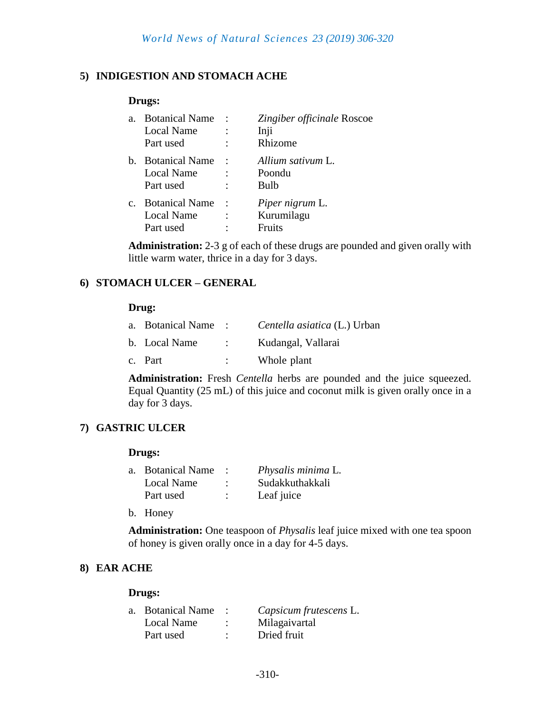# **5) INDIGESTION AND STOMACH ACHE**

#### **Drugs:**

| a.      | <b>Botanical Name</b><br>Local Name<br>Part used        | $\ddot{\cdot}$      | Zingiber officinale Roscoe<br>Inji<br>Rhizome  |
|---------|---------------------------------------------------------|---------------------|------------------------------------------------|
| b.      | <b>Botanical Name</b><br><b>Local Name</b><br>Part used |                     | Allium sativum L.<br>Poondu<br>Bulb            |
| $C_{-}$ | <b>Botanical Name</b><br><b>Local Name</b><br>Part used | $\ddot{\cdot}$<br>٠ | Piper nigrum L.<br>Kurumilagu<br><b>Fruits</b> |

**Administration:** 2-3 g of each of these drugs are pounded and given orally with little warm water, thrice in a day for 3 days.

# **6) STOMACH ULCER – GENERAL**

#### **Drug:**

| a. Botanical Name: |                   | <i>Centella asiatica</i> (L.) Urban |
|--------------------|-------------------|-------------------------------------|
| b. Local Name      | $\sim$ 100 $\sim$ | Kudangal, Vallarai                  |
| c. Part            |                   | Whole plant                         |

**Administration:** Fresh *Centella* herbs are pounded and the juice squeezed. Equal Quantity (25 mL) of this juice and coconut milk is given orally once in a day for 3 days.

# **7) GASTRIC ULCER**

#### **Drugs:**

| a. Botanical Name |   | Physalis minima L. |
|-------------------|---|--------------------|
| Local Name        |   | Sudakkuthakkali    |
| Part used         | ٠ | Leaf juice         |

b. Honey

**Administration:** One teaspoon of *Physalis* leaf juice mixed with one tea spoon of honey is given orally once in a day for 4-5 days.

# **8) EAR ACHE**

| a. Botanical Name | Capsicum frutescens L. |
|-------------------|------------------------|
| Local Name        | Milagaivartal          |
| Part used         | Dried fruit            |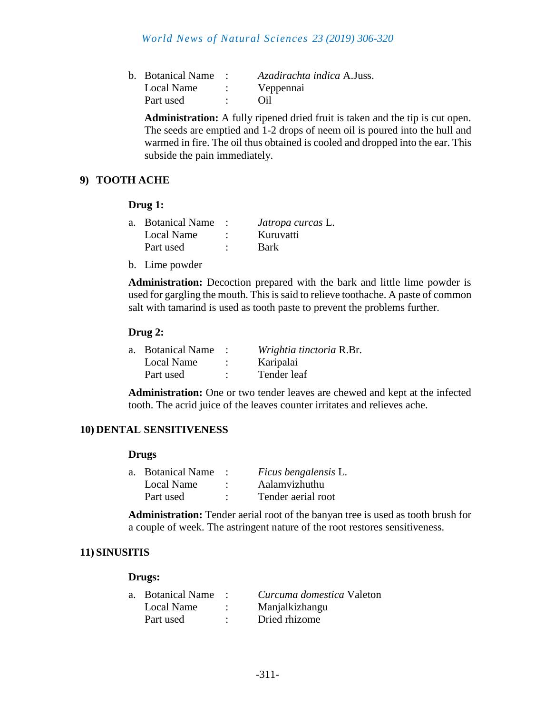# *World News of Natural Sciences 23 (2019) 306-320*

| b. Botanical Name | <i>Azadirachta indica A.Juss.</i> |
|-------------------|-----------------------------------|
| Local Name        | Veppennai                         |
| Part used         | Oil                               |

**Administration:** A fully ripened dried fruit is taken and the tip is cut open. The seeds are emptied and 1-2 drops of neem oil is poured into the hull and warmed in fire. The oil thus obtained is cooled and dropped into the ear. This subside the pain immediately.

# **9) TOOTH ACHE**

#### **Drug 1:**

| a. Botanical Name | <i>Jatropa curcas</i> L. |
|-------------------|--------------------------|
| Local Name        | Kuruvatti                |
| Part used         | <b>Bark</b>              |

b. Lime powder

**Administration:** Decoction prepared with the bark and little lime powder is used for gargling the mouth. This is said to relieve toothache. A paste of common salt with tamarind is used as tooth paste to prevent the problems further.

#### **Drug 2:**

| a. Botanical Name | Wrightia tinctoria R.Br. |
|-------------------|--------------------------|
| Local Name        | Karipalai                |
| Part used         | Tender leaf              |

**Administration:** One or two tender leaves are chewed and kept at the infected tooth. The acrid juice of the leaves counter irritates and relieves ache.

## **10) DENTAL SENSITIVENESS**

#### **Drugs**

| a. Botanical Name |   | Ficus bengalensis L. |
|-------------------|---|----------------------|
| Local Name        | ٠ | Aalamvizhuthu        |
| Part used         | ٠ | Tender aerial root   |

**Administration:** Tender aerial root of the banyan tree is used as tooth brush for a couple of week. The astringent nature of the root restores sensitiveness.

## **11) SINUSITIS**

| a. Botanical Name | Curcuma domestica Valeton |
|-------------------|---------------------------|
| Local Name        | Manjalkizhangu            |
| Part used         | Dried rhizome             |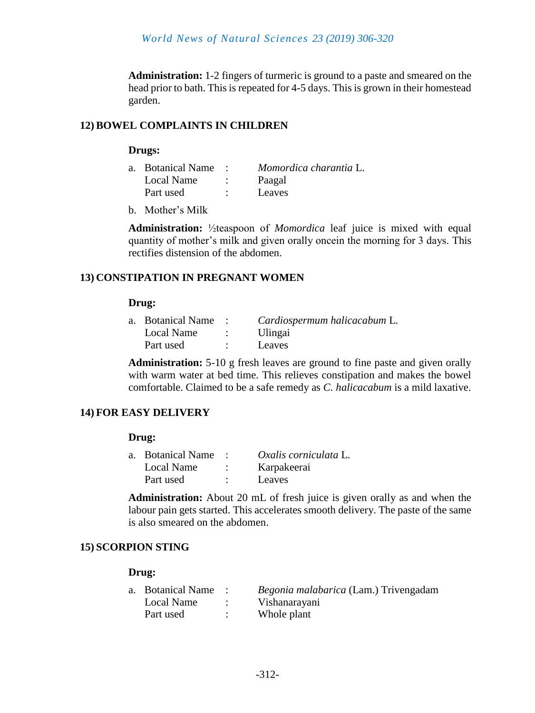**Administration:** 1-2 fingers of turmeric is ground to a paste and smeared on the head prior to bath. This is repeated for 4-5 days. This is grown in their homestead garden.

# **12)BOWEL COMPLAINTS IN CHILDREN**

#### **Drugs:**

| a. Botanical Name | Momordica charantia L. |
|-------------------|------------------------|
| Local Name        | Paagal                 |
| Part used         | Leaves                 |

b. Mother's Milk

**Administration:** ½teaspoon of *Momordica* leaf juice is mixed with equal quantity of mother's milk and given orally oncein the morning for 3 days. This rectifies distension of the abdomen.

# **13) CONSTIPATION IN PREGNANT WOMEN**

#### **Drug:**

| a. Botanical Name: | Cardiospermum halicacabum L. |
|--------------------|------------------------------|
| Local Name         | Ulingai                      |
| Part used          | Leaves                       |

**Administration:** 5-10 g fresh leaves are ground to fine paste and given orally with warm water at bed time. This relieves constipation and makes the bowel comfortable. Claimed to be a safe remedy as *C. halicacabum* is a mild laxative.

# **14) FOR EASY DELIVERY**

## **Drug:**

| a. Botanical Name | Oxalis corniculata L. |
|-------------------|-----------------------|
| Local Name        | Karpakeerai           |
| Part used         | Leaves                |

**Administration:** About 20 mL of fresh juice is given orally as and when the labour pain gets started. This accelerates smooth delivery. The paste of the same is also smeared on the abdomen.

## **15) SCORPION STING**

| a. Botanical Name | <i>Begonia malabarica</i> (Lam.) Trivengadam |
|-------------------|----------------------------------------------|
| Local Name        | Vishanarayani                                |
| Part used         | Whole plant                                  |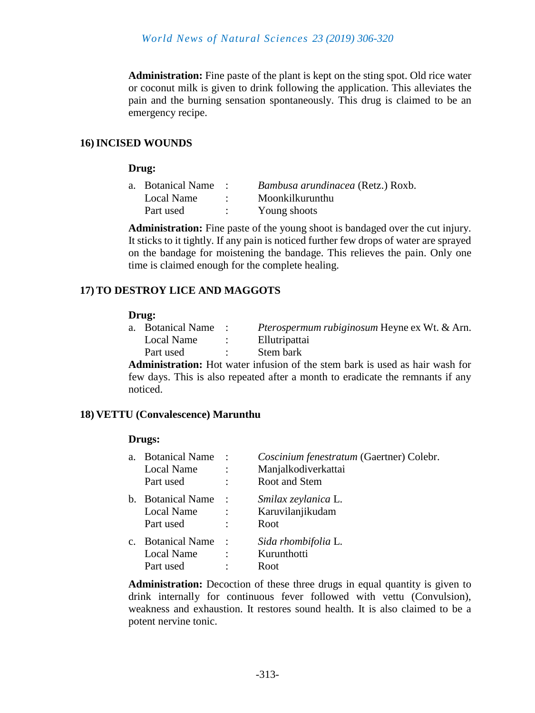**Administration:** Fine paste of the plant is kept on the sting spot. Old rice water or coconut milk is given to drink following the application. This alleviates the pain and the burning sensation spontaneously. This drug is claimed to be an emergency recipe.

## **16)INCISED WOUNDS**

#### **Drug:**

| a. Botanical Name | Bambusa arundinacea (Retz.) Roxb. |
|-------------------|-----------------------------------|
| Local Name        | Moonkilkurunthu                   |
| Part used         | Young shoots                      |

**Administration:** Fine paste of the young shoot is bandaged over the cut injury. It sticks to it tightly. If any pain is noticed further few drops of water are sprayed on the bandage for moistening the bandage. This relieves the pain. Only one time is claimed enough for the complete healing.

# **17)TO DESTROY LICE AND MAGGOTS**

#### **Drug:**

| a. Botanical Name | <i>Pterospermum rubiginosum</i> Heyne ex Wt. & Arn. |
|-------------------|-----------------------------------------------------|
| Local Name        | Ellutripattai                                       |
| Part used         | Stem bark                                           |

**Administration:** Hot water infusion of the stem bark is used as hair wash for few days. This is also repeated after a month to eradicate the remnants if any noticed.

## **18) VETTU (Convalescence) Marunthu**

## **Drugs:**

| a.          | <b>Botanical Name</b><br>Local Name<br>Part used        | $\sim$ 100 $\sim$           | Coscinium fenestratum (Gaertner) Colebr.<br>Manjalkodiverkattai<br>Root and Stem |
|-------------|---------------------------------------------------------|-----------------------------|----------------------------------------------------------------------------------|
| b.          | <b>Botanical Name</b><br>Local Name<br>Part used        | $\ddot{\cdot}$<br>$\bullet$ | Smilax zeylanica L.<br>Karuvilanjikudam<br>Root                                  |
| $C_{\star}$ | <b>Botanical Name</b><br><b>Local Name</b><br>Part used | $\cdot$ :<br>$\ddot{\cdot}$ | Sida rhombifolia L.<br>Kurunthotti<br>Root                                       |

**Administration:** Decoction of these three drugs in equal quantity is given to drink internally for continuous fever followed with vettu (Convulsion), weakness and exhaustion. It restores sound health. It is also claimed to be a potent nervine tonic.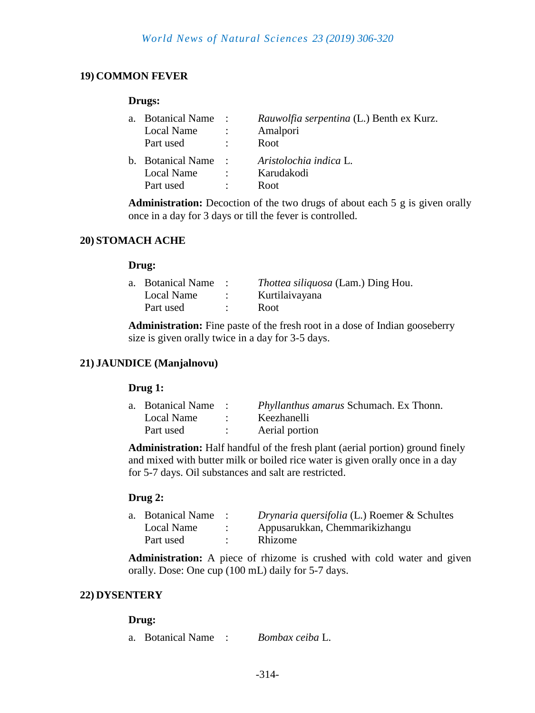# **19) COMMON FEVER**

#### **Drugs:**

| a. | <b>Botanical Name</b><br>Local Name<br>Part used | $\ddot{\phantom{1}}$<br>$\mathcal{L}$ | <i>Rauwolfia serpentina</i> (L.) Benth ex Kurz.<br>Amalpori<br>Root |
|----|--------------------------------------------------|---------------------------------------|---------------------------------------------------------------------|
|    | b. Botanical Name                                | $\sim 1000$                           | Aristolochia indica L.                                              |
|    | Local Name                                       | $\mathcal{L}$                         | Karudakodi                                                          |
|    | Part used                                        | $\ddot{\phantom{0}}$                  | Root                                                                |

**Administration:** Decoction of the two drugs of about each 5 g is given orally once in a day for 3 days or till the fever is controlled.

# **20) STOMACH ACHE**

#### **Drug:**

| a. Botanical Name | <i>Thottea siliquosa</i> (Lam.) Ding Hou. |
|-------------------|-------------------------------------------|
| Local Name        | Kurtilaivayana                            |
| Part used         | Root                                      |

**Administration:** Fine paste of the fresh root in a dose of Indian gooseberry size is given orally twice in a day for 3-5 days.

## **21) JAUNDICE (Manjalnovu)**

## **Drug 1:**

| a. Botanical Name: | <i>Phyllanthus amarus Schumach. Ex Thonn.</i> |
|--------------------|-----------------------------------------------|
| Local Name         | Keezhanelli                                   |
| Part used          | Aerial portion                                |

**Administration:** Half handful of the fresh plant (aerial portion) ground finely and mixed with butter milk or boiled rice water is given orally once in a day for 5-7 days. Oil substances and salt are restricted.

## **Drug 2:**

| a. Botanical Name | Drynaria quersifolia (L.) Roemer & Schultes |
|-------------------|---------------------------------------------|
| Local Name        | Appusarukkan, Chemmarikizhangu              |
| Part used         | Rhizome                                     |

**Administration:** A piece of rhizome is crushed with cold water and given orally. Dose: One cup (100 mL) daily for 5-7 days.

## **22) DYSENTERY**

## **Drug:**

a. Botanical Name : *Bombax ceiba* L.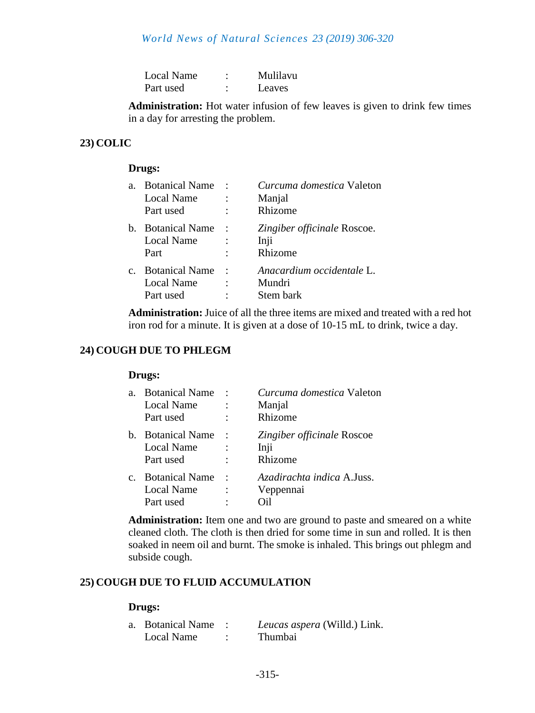| Local Name |   | Mulilavu |
|------------|---|----------|
| Part used  | ٠ | Leaves   |

**Administration:** Hot water infusion of few leaves is given to drink few times in a day for arresting the problem.

# **23) COLIC**

#### **Drugs:**

| $\mathbf{a}$ . | <b>Botanical Name</b><br>Local Name<br>Part used | <i>Curcuma domestica</i> Valeton<br>Manjal<br>Rhizome |
|----------------|--------------------------------------------------|-------------------------------------------------------|
| $h_{-}$        | <b>Botanical Name</b><br>Local Name<br>Part      | Zingiber officinale Roscoe.<br>Inji<br>Rhizome        |
| $C_{-}$        | <b>Botanical Name</b><br>Local Name<br>Part used | Anacardium occidentale L.<br>Mundri<br>Stem bark      |

**Administration:** Juice of all the three items are mixed and treated with a red hot iron rod for a minute. It is given at a dose of 10-15 mL to drink, twice a day.

## **24) COUGH DUE TO PHLEGM**

#### **Drugs:**

| a.             | <b>Botanical Name</b> | $\cdot$        | Curcuma domestica Valeton  |
|----------------|-----------------------|----------------|----------------------------|
|                | <b>Local Name</b>     |                | Manjal                     |
|                | Part used             |                | Rhizome                    |
| b.             | <b>Botanical Name</b> | $\ddot{\cdot}$ | Zingiber officinale Roscoe |
|                | <b>Local Name</b>     |                | Inji                       |
|                | Part used             |                | Rhizome                    |
| $\mathbf{c}$ . | <b>Botanical Name</b> | $\ddot{\cdot}$ | Azadirachta indica A.Juss. |
|                | <b>Local Name</b>     |                | Veppennai                  |
|                | Part used             |                |                            |
|                |                       |                |                            |

**Administration:** Item one and two are ground to paste and smeared on a white cleaned cloth. The cloth is then dried for some time in sun and rolled. It is then soaked in neem oil and burnt. The smoke is inhaled. This brings out phlegm and subside cough.

# **25) COUGH DUE TO FLUID ACCUMULATION**

| a. Botanical Name | Leucas aspera (Willd.) Link. |
|-------------------|------------------------------|
| Local Name        | <b>Thumbai</b>               |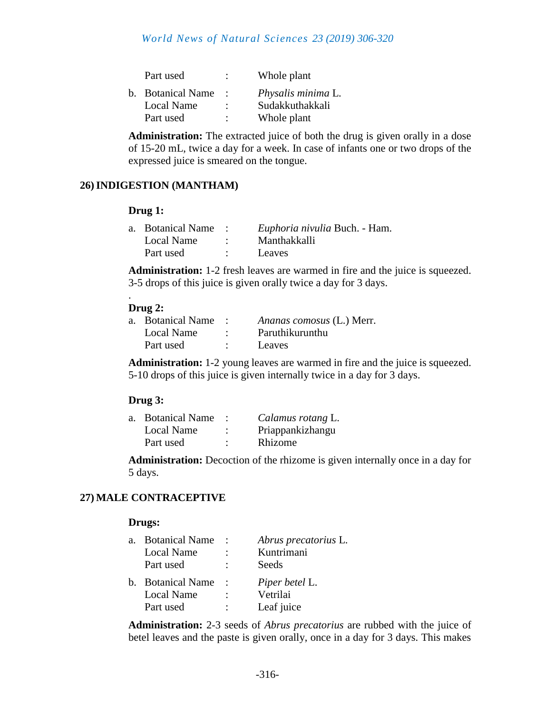| Part used         | ٠              | Whole plant        |
|-------------------|----------------|--------------------|
| b. Botanical Name |                | Physalis minima L. |
| <b>Local Name</b> | ٠              | Sudakkuthakkali    |
| Part used         | $\ddot{\cdot}$ | Whole plant        |
|                   |                |                    |

**Administration:** The extracted juice of both the drug is given orally in a dose of 15-20 mL, twice a day for a week. In case of infants one or two drops of the expressed juice is smeared on the tongue.

# **26)INDIGESTION (MANTHAM)**

#### **Drug 1:**

| a. Botanical Name | Euphoria nivulia Buch. - Ham. |
|-------------------|-------------------------------|
| Local Name        | Manthakkalli                  |
| Part used         | Leaves                        |

**Administration:** 1-2 fresh leaves are warmed in fire and the juice is squeezed. 3-5 drops of this juice is given orally twice a day for 3 days.

# **Drug 2:**

.

| a. Botanical Name | Ananas comosus (L.) Merr. |
|-------------------|---------------------------|
| Local Name        | Paruthikurunthu           |
| Part used         | Leaves                    |

**Administration:** 1-2 young leaves are warmed in fire and the juice is squeezed. 5-10 drops of this juice is given internally twice in a day for 3 days.

# **Drug 3:**

| a. Botanical Name |        | Calamus rotang L. |
|-------------------|--------|-------------------|
| Local Name        | ٠      | Priappankizhangu  |
| Part used         | ٠<br>٠ | Rhizome           |
|                   |        |                   |

**Administration:** Decoction of the rhizome is given internally once in a day for 5 days.

# **27) MALE CONTRACEPTIVE**

## **Drugs:**

| a. Botanical Name | Abrus precatorius L. |
|-------------------|----------------------|
| <b>Local Name</b> | Kuntrimani           |
| Part used         | Seeds                |
| b. Botanical Name | Piper betel L.       |
| Local Name        | Vetrilai             |
| Part used         | Leaf juice           |

**Administration:** 2-3 seeds of *Abrus precatorius* are rubbed with the juice of betel leaves and the paste is given orally, once in a day for 3 days. This makes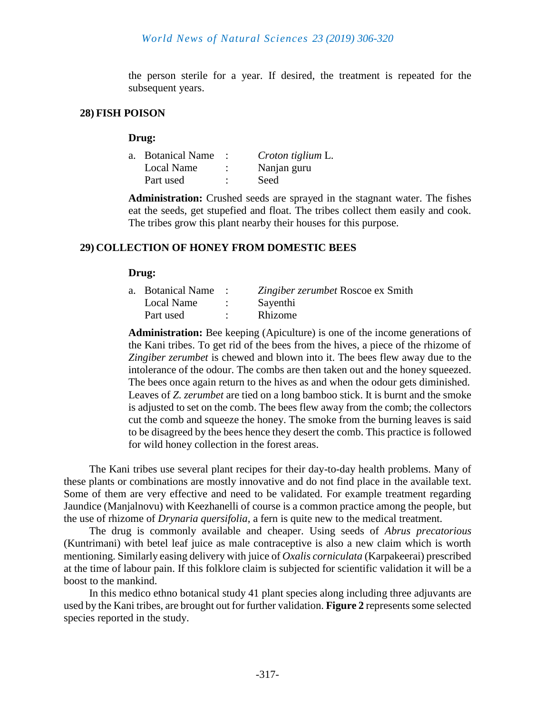the person sterile for a year. If desired, the treatment is repeated for the subsequent years.

#### **28) FISH POISON**

#### **Drug:**

| a. Botanical Name | Croton tiglium L. |
|-------------------|-------------------|
| Local Name        | Nanjan guru       |
| Part used         | Seed              |

**Administration:** Crushed seeds are sprayed in the stagnant water. The fishes eat the seeds, get stupefied and float. The tribes collect them easily and cook. The tribes grow this plant nearby their houses for this purpose.

## **29) COLLECTION OF HONEY FROM DOMESTIC BEES**

#### **Drug:**

| a. Botanical Name | Zingiber zerumbet Roscoe ex Smith |
|-------------------|-----------------------------------|
| Local Name        | Sayenthi                          |
| Part used         | Rhizome                           |

**Administration:** Bee keeping (Apiculture) is one of the income generations of the Kani tribes. To get rid of the bees from the hives, a piece of the rhizome of *Zingiber zerumbet* is chewed and blown into it. The bees flew away due to the intolerance of the odour. The combs are then taken out and the honey squeezed. The bees once again return to the hives as and when the odour gets diminished. Leaves of *Z. zerumbet* are tied on a long bamboo stick. It is burnt and the smoke is adjusted to set on the comb. The bees flew away from the comb; the collectors cut the comb and squeeze the honey. The smoke from the burning leaves is said to be disagreed by the bees hence they desert the comb. This practice is followed for wild honey collection in the forest areas.

The Kani tribes use several plant recipes for their day-to-day health problems. Many of these plants or combinations are mostly innovative and do not find place in the available text. Some of them are very effective and need to be validated. For example treatment regarding Jaundice (Manjalnovu) with Keezhanelli of course is a common practice among the people, but the use of rhizome of *Drynaria quersifolia*, a fern is quite new to the medical treatment.

The drug is commonly available and cheaper. Using seeds of *Abrus precatorious*  (Kuntrimani) with betel leaf juice as male contraceptive is also a new claim which is worth mentioning. Similarly easing delivery with juice of *Oxalis corniculata* (Karpakeerai) prescribed at the time of labour pain. If this folklore claim is subjected for scientific validation it will be a boost to the mankind.

In this medico ethno botanical study 41 plant species along including three adjuvants are used by the Kani tribes, are brought out for further validation. **Figure 2** represents some selected species reported in the study.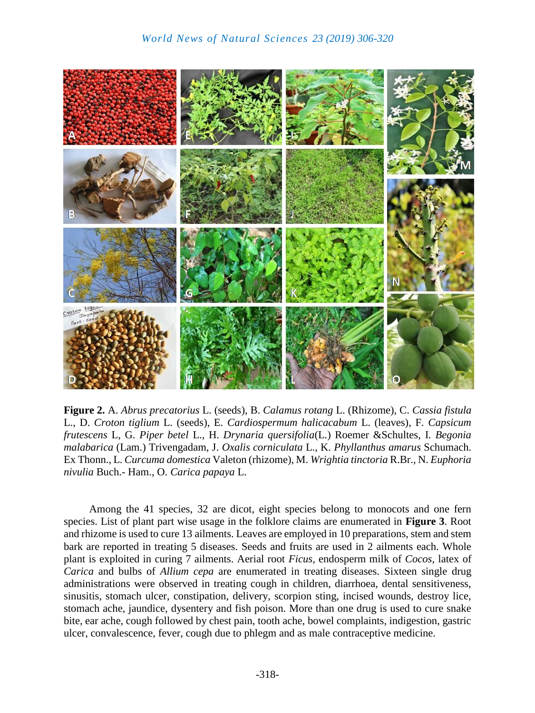

**Figure 2.** A. *Abrus precatorius* L. (seeds), B. *Calamus rotang* L. (Rhizome), C. *Cassia fistula* L., D. *Croton tiglium* L. (seeds), E. *Cardiospermum halicacabum* L. (leaves), F. *Capsicum frutescens* L, G. *Piper betel* L., H. *Drynaria quersifolia*(L.) Roemer &Schultes, I. *Begonia malabarica* (Lam.) Trivengadam, J. *Oxalis corniculata* L., K. *Phyllanthus amarus* Schumach. Ex Thonn., L. *Curcuma domestica* Valeton (rhizome), M. *Wrightia tinctoria* R.Br., N. *Euphoria nivulia* Buch.- Ham., O. *Carica papaya* L.

Among the 41 species, 32 are dicot, eight species belong to monocots and one fern species. List of plant part wise usage in the folklore claims are enumerated in **Figure 3**. Root and rhizome is used to cure 13 ailments. Leaves are employed in 10 preparations, stem and stem bark are reported in treating 5 diseases. Seeds and fruits are used in 2 ailments each. Whole plant is exploited in curing 7 ailments. Aerial root *Ficus*, endosperm milk of *Cocos*, latex of *Carica* and bulbs of *Allium cepa* are enumerated in treating diseases. Sixteen single drug administrations were observed in treating cough in children, diarrhoea, dental sensitiveness, sinusitis, stomach ulcer, constipation, delivery, scorpion sting, incised wounds, destroy lice, stomach ache, jaundice, dysentery and fish poison. More than one drug is used to cure snake bite, ear ache, cough followed by chest pain, tooth ache, bowel complaints, indigestion, gastric ulcer, convalescence, fever, cough due to phlegm and as male contraceptive medicine.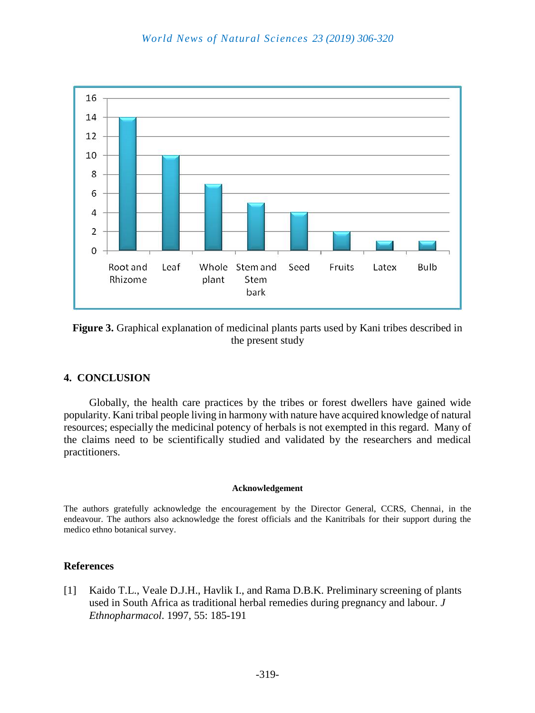

**Figure 3.** Graphical explanation of medicinal plants parts used by Kani tribes described in the present study

# **4. CONCLUSION**

Globally, the health care practices by the tribes or forest dwellers have gained wide popularity. Kani tribal people living in harmony with nature have acquired knowledge of natural resources; especially the medicinal potency of herbals is not exempted in this regard. Many of the claims need to be scientifically studied and validated by the researchers and medical practitioners.

#### **Acknowledgement**

The authors gratefully acknowledge the encouragement by the Director General, CCRS, Chennai, in the endeavour. The authors also acknowledge the forest officials and the Kanitribals for their support during the medico ethno botanical survey.

# **References**

[1] Kaido T.L., Veale D.J.H., Havlik I., and Rama D.B.K. Preliminary screening of plants used in South Africa as traditional herbal remedies during pregnancy and labour. *J Ethnopharmacol*. 1997, 55: 185-191